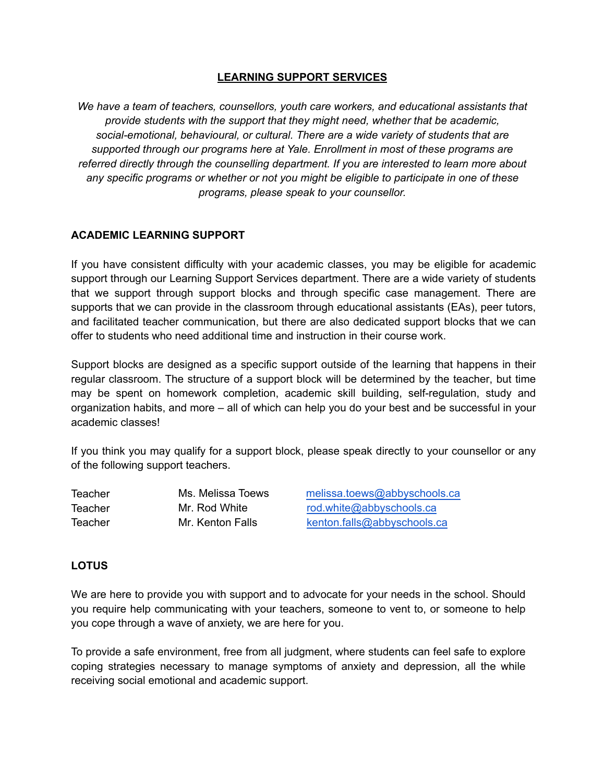### **LEARNING SUPPORT SERVICES**

*We have a team of teachers, counsellors, youth care workers, and educational assistants that provide students with the support that they might need, whether that be academic, social-emotional, behavioural, or cultural. There are a wide variety of students that are supported through our programs here at Yale. Enrollment in most of these programs are referred directly through the counselling department. If you are interested to learn more about any specific programs or whether or not you might be eligible to participate in one of these programs, please speak to your counsellor.*

### **ACADEMIC LEARNING SUPPORT**

If you have consistent difficulty with your academic classes, you may be eligible for academic support through our Learning Support Services department. There are a wide variety of students that we support through support blocks and through specific case management. There are supports that we can provide in the classroom through educational assistants (EAs), peer tutors, and facilitated teacher communication, but there are also dedicated support blocks that we can offer to students who need additional time and instruction in their course work.

Support blocks are designed as a specific support outside of the learning that happens in their regular classroom. The structure of a support block will be determined by the teacher, but time may be spent on homework completion, academic skill building, self-regulation, study and organization habits, and more – all of which can help you do your best and be successful in your academic classes!

If you think you may qualify for a support block, please speak directly to your counsellor or any of the following support teachers.

**Teacher** Teacher **Teacher** 

Ms. Melissa Toews [melissa.toews@abbyschools.ca](mailto:melissa.toews@abbyschools.ca) Mr. Rod White [rod.white@abbyschools.ca](mailto:rod.white@abbyschools.ca) Mr. Kenton Falls [kenton.falls@abbyschools.ca](mailto:kenton.falls@abbyschools.ca)

#### **LOTUS**

We are here to provide you with support and to advocate for your needs in the school. Should you require help communicating with your teachers, someone to vent to, or someone to help you cope through a wave of anxiety, we are here for you.

To provide a safe environment, free from all judgment, where students can feel safe to explore coping strategies necessary to manage symptoms of anxiety and depression, all the while receiving social emotional and academic support.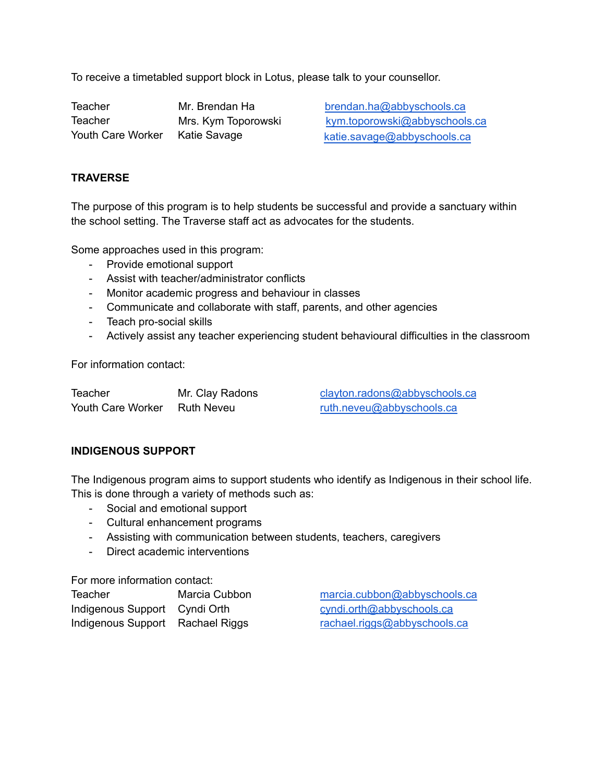To receive a timetabled support block in Lotus, please talk to your counsellor.

Teacher **Teacher** Youth Care Worker Katie Savage **Katie Katie.savage@abbyschools.ca** 

Mr. Brendan Ha [brendan.ha@abbyschools.ca](mailto:brendan.ha@abbyschools.ca) Mrs. Kym Toporowski [kym.toporowski@abbyschools.ca](mailto:kym.toporowski@abbyschools.ca)

### **TRAVERSE**

The purpose of this program is to help students be successful and provide a sanctuary within the school setting. The Traverse staff act as advocates for the students.

Some approaches used in this program:

- Provide emotional support
- Assist with teacher/administrator conflicts
- Monitor academic progress and behaviour in classes
- Communicate and collaborate with staff, parents, and other agencies
- Teach pro-social skills
- Actively assist any teacher experiencing student behavioural difficulties in the classroom

For information contact:

| Teacher           | Mr. Clay Radons | clayton.radons@abbyschools.ca |
|-------------------|-----------------|-------------------------------|
| Youth Care Worker | Ruth Neveu      | ruth.neveu@abbyschools.ca     |

#### **INDIGENOUS SUPPORT**

The Indigenous program aims to support students who identify as Indigenous in their school life. This is done through a variety of methods such as:

- Social and emotional support
- Cultural enhancement programs
- Assisting with communication between students, teachers, caregivers
- Direct academic interventions

For more information contact:

| Teacher                       | Marcia Cubbon |
|-------------------------------|---------------|
| Indigenous Support Cyndi Orth |               |
| Indigenous Support            | Rachael Riggs |

[marcia.cubbon@abbyschools.ca](mailto:marcia.cubbon@abbyschools.ca) [cyndi.orth@abbyschools.ca](mailto:cyndi.orth@abbyschools.ca) [rachael.riggs@abbyschools.ca](mailto:rachael.riggs@abbyschools.ca)